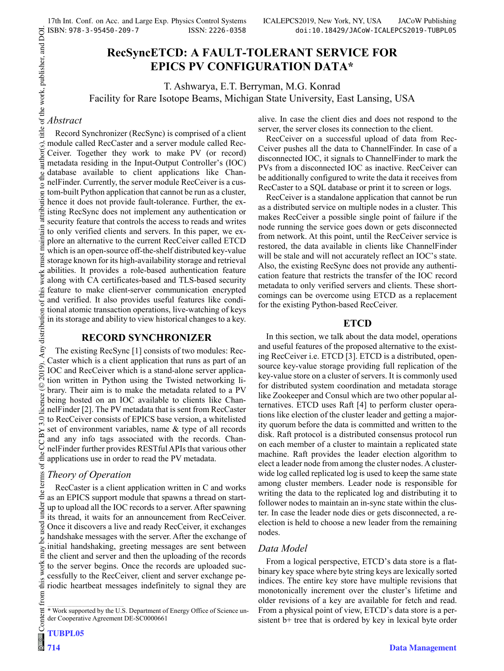## **RecSyncETCD: A FAULT-TOLERANT SERVICE FOR EPICS PV CONFIGURATION DATA\***

T. Ashwarya, E.T. Berryman, M.G. Konrad Facility for Rare Isotope Beams, Michigan State University, East Lansing, USA

# title of the work, publisher, and DOI. *Abstract*

the author(s).

 $\overline{S}$ 

 $main$ must

this  $\sigma$ 

ΒY

the

2019). Any distribution of this work must must maintain attribution to the author(s), title work, publisher, and DOI. The author(s), title of the work, publisher, and DOI. The author(s),  $\alpha$  and  $\alpha$  is the work,  $\alpha$  an Record Synchronizer (RecSync) is comprised of a client module called RecCaster and a server module called Rec-Ceiver. Together they work to make PV (or record) metadata residing in the Input-Output Controller's (IOC) database available to client applications like ChannelFinder. Currently, the server module RecCeiver is a custom-built Python application that cannot be run as a cluster, attribution hence it does not provide fault-tolerance. Further, the existing RecSync does not implement any authentication or security feature that controls the access to reads and writes iain to only verified clients and servers. In this paper, we explore an alternative to the current RecCeiver called ETCD which is an open-source off-the-shelf distributed key-value storage known for its high-availability storage and retrieval work<sub>1</sub> abilities. It provides a role-based authentication feature along with CA certificates-based and TLS-based security feature to make client-server communication encrypted and verified. It also provides useful features like conditional atomic transaction operations, live-watching of keys Any distribution in its storage and ability to view historical changes to a key.

## **RECORD SYNCHRONIZER**

The existing RecSync [1] consists of two modules: Rec-Caster which is a client application that runs as part of an 2019). IOC and RecCeiver which is a stand-alone server application written in Python using the Twisted networking li-©brary. Their aim is to make the metadata related to a PV being hosted on an IOC available to clients like ChannelFinder [2]. The PV metadata that is sent from RecCaster  $3.0$ to RecCeiver consists of EPICS base version, a whitelisted set of environment variables, name & type of all records and any info tags associated with the records. ChannelFinder further provides RESTful APIs that various other applications use in order to read the PV metadata.

## *Theory of Operation*

Content from this work may be used under the terms of the CC BY 3.0 licence ( $@$ terms of RecCaster is a client application written in C and works under the as an EPICS support module that spawns a thread on startup to upload all the IOC records to a server. After spawning its thread, it waits for an announcement from RecCeiver. used Once it discovers a live and ready RecCeiver, it exchanges handshake messages with the server. After the exchange of je initial handshaking, greeting messages are sent between may the client and server and then the uploading of the records work to the server begins. Once the records are uploaded successfully to the RecCeiver, client and server exchange pethis riodic heartbeat messages indefinitely to signal they are from

alive. In case the client dies and does not respond to the server, the server closes its connection to the client.

RecCeiver on a successful upload of data from Rec-Ceiver pushes all the data to ChannelFinder. In case of a disconnected IOC, it signals to ChannelFinder to mark the PVs from a disconnected IOC as inactive. RecCeiver can be additionally configured to write the data it receives from RecCaster to a SQL database or print it to screen or logs.

RecCeiver is a standalone application that cannot be run as a distributed service on multiple nodes in a cluster. This makes RecCeiver a possible single point of failure if the node running the service goes down or gets disconnected from network. At this point, until the RecCeiver service is restored, the data available in clients like ChannelFinder will be stale and will not accurately reflect an IOC's state. Also, the existing RecSync does not provide any authentication feature that restricts the transfer of the IOC record metadata to only verified servers and clients. These shortcomings can be overcome using ETCD as a replacement for the existing Python-based RecCeiver.

#### **ETCD**

In this section, we talk about the data model, operations and useful features of the proposed alternative to the existing RecCeiver i.e. ETCD [3]. ETCD is a distributed, opensource key-value storage providing full replication of the key-value store on a cluster of servers. It is commonly used for distributed system coordination and metadata storage like Zookeeper and Consul which are two other popular alternatives. ETCD uses Raft [4] to perform cluster operations like election of the cluster leader and getting a majority quorum before the data is committed and written to the disk. Raft protocol is a distributed consensus protocol run on each member of a cluster to maintain a replicated state machine. Raft provides the leader election algorithm to elect a leader node from among the cluster nodes. A clusterwide log called replicated log is used to keep the same state among cluster members. Leader node is responsible for writing the data to the replicated log and distributing it to follower nodes to maintain an in-sync state within the cluster. In case the leader node dies or gets disconnected, a reelection is held to choose a new leader from the remaining nodes.

## *Data Model*

From a logical perspective, ETCD's data store is a flatbinary key space where byte string keys are lexically sorted indices. The entire key store have multiple revisions that monotonically increment over the cluster's lifetime and older revisions of a key are available for fetch and read. From a physical point of view, ETCD's data store is a persistent b+ tree that is ordered by key in lexical byte order

<sup>\*</sup> Work supported by the U.S. Department of Energy Office of Science under Cooperative Agreement DE-SC0000661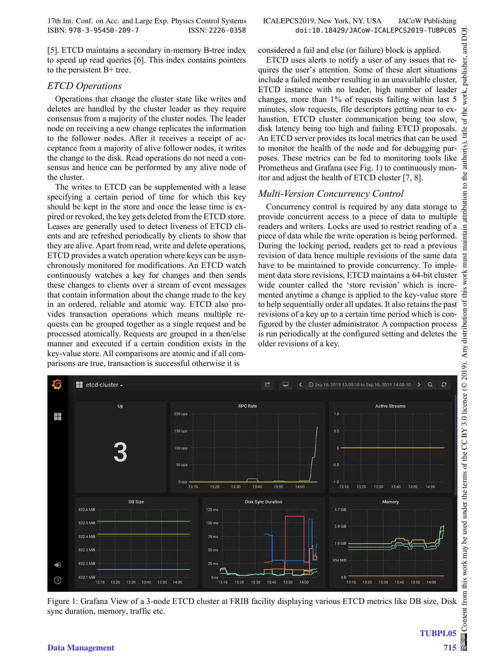[5]. ETCD maintains a secondary in-memory B**-**tree index to speed up read queries [6]. This index contains pointers to the persistent B+ tree.

#### *ETCD Operations*

Operations that change the cluster state like writes and deletes are handled by the cluster leader as they require consensus from a majority of the cluster nodes. The leader node on receiving a new change replicates the information to the follower nodes. After it receives a receipt of acceptance from a majority of alive follower nodes, it writes the change to the disk. Read operations do not need a consensus and hence can be performed by any alive node of the cluster.

The writes to ETCD can be supplemented with a lease specifying a certain period of time for which this key should be kept in the store and once the lease time is expired or revoked, the key gets deleted from the ETCD store. Leases are generally used to detect liveness of ETCD clients and are refreshed periodically by clients to show that they are alive. Apart from read, write and delete operations, ETCD provides a watch operation where keys can be asynchronously monitored for modifications. An ETCD watch continuously watches a key for changes and then sends these changes to clients over a stream of event messages that contain information about the change made to the key in an ordered, reliable and atomic way. ETCD also provides transaction operations which means multiple requests can be grouped together as a single request and be processed atomically. Requests are grouped in a then/else manner and executed if a certain condition exists in the key-value store. All comparisons are atomic and if all comparisons are true, transaction is successful otherwise it is

considered a fail and else (or failure) block is applied.

ETCD uses alerts to notify a user of any issues that requires the user's attention. Some of these alert situations include a failed member resulting in an unavailable cluster, ETCD instance with no leader, high number of leader changes, more than 1% of requests failing within last 5 minutes, slow requests, file descriptors getting near to exhaustion, ETCD cluster communication being too slow, disk latency being too high and failing ETCD proposals. An ETCD server provides its local metrics that can be used to monitor the health of the node and for debugging purposes. These metrics can be fed to monitoring tools like Prometheus and Grafana (see Fig. 1) to continuously monitor and adjust the health of ETCD cluster [7, 8].

## *Multi-Version Concurrency Control*

Concurrency control is required by any data storage to provide concurrent access to a piece of data to multiple readers and writers. Locks are used to restrict reading of a piece of data while the write operation is being performed. During the locking period, readers get to read a previous revision of data hence multiple revisions of the same data have to be maintained to provide concurrency. To implement data store revisions, ETCD maintains a 64-bit cluster wide counter called the 'store revision' which is incremented anytime a change is applied to the key-value store to help sequentially order all updates. It also retains the past revisions of a key up to a certain time period which is configured by the cluster administrator. A compaction process is run periodically at the configured setting and deletes the older revisions of a key.



Figure 1: Grafana View of a 3-node ETCD cluster at FRIB facility displaying various ETCD metrics like DB size, Disk sync duration, memory, traffic etc.

DOI. and Ū.

**TUBPL05**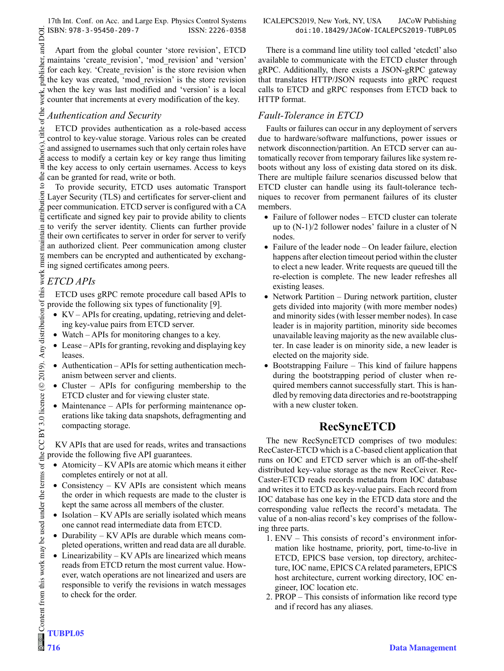Apart from the global counter 'store revision', ETCD maintains 'create\_revision', 'mod\_revision' and 'version' for each key. 'Create revision' is the store revision when the key was created, 'mod revision' is the store revision when the key was last modified and 'version' is a local work, counter that increments at every modification of the key.

## *Authentication and Security*

ETCD provides authentication as a role-based access control to key-value storage. Various roles can be created and assigned to usernames such that only certain roles have access to modify a certain key or key range thus limiting the key access to only certain usernames. Access to keys can be granted for read, write or both.

To provide security, ETCD uses automatic Transport Layer Security (TLS) and certificates for server-client and peer communication. ETCD server is configured with a CA certificate and signed key pair to provide ability to clients to verify the server identity. Clients can further provide their own certificates to server in order for server to verify an authorized client. Peer communication among cluster members can be encrypted and authenticated by exchanging signed certificates among peers.

## *ETCD APIs*

ETCD uses gRPC remote procedure call based APIs to provide the following six types of functionality [9].

- KV APIs for creating, updating, retrieving and deleting key-value pairs from ETCD server.
- Watch APIs for monitoring changes to a key.
- Lease APIs for granting, revoking and displaying key leases.
- Authentication APIs for setting authentication mechanism between server and clients.
- Cluster APIs for configuring membership to the ETCD cluster and for viewing cluster state.
- Maintenance APIs for performing maintenance operations like taking data snapshots, defragmenting and compacting storage.

KV APIs that are used for reads, writes and transactions provide the following five API guarantees.

- Atomicity KV APIs are atomic which means it either completes entirely or not at all.
- Consistency KV APIs are consistent which means the order in which requests are made to the cluster is kept the same across all members of the cluster.
- Isolation KV APIs are serially isolated which means one cannot read intermediate data from ETCD.
- Durability KV APIs are durable which means completed operations, written and read data are all durable.
- Linearizability KV APIs are linearized which means reads from ETCD return the most current value. However, watch operations are not linearized and users are responsible to verify the revisions in watch messages to check for the order.

There is a command line utility tool called 'etcdctl' also available to communicate with the ETCD cluster through gRPC. Additionally, there exists a JSON-gRPC gateway that translates HTTP/JSON requests into gRPC request calls to ETCD and gRPC responses from ETCD back to HTTP format.

## *Fault-Tolerance in ETCD*

Faults or failures can occur in any deployment of servers due to hardware/software malfunctions, power issues or network disconnection/partition. An ETCD server can automatically recover from temporary failures like system reboots without any loss of existing data stored on its disk. There are multiple failure scenarios discussed below that ETCD cluster can handle using its fault-tolerance techniques to recover from permanent failures of its cluster members.

- Failure of follower nodes ETCD cluster can tolerate up to (N-1)/2 follower nodes' failure in a cluster of N nodes.
- Failure of the leader node On leader failure, election happens after election timeout period within the cluster to elect a new leader. Write requests are queued till the re-election is complete. The new leader refreshes all existing leases.
- Network Partition During network partition, cluster gets divided into majority (with more member nodes) and minority sides (with lesser member nodes). In case leader is in majority partition, minority side becomes unavailable leaving majority as the new available cluster. In case leader is on minority side, a new leader is elected on the majority side.
- Bootstrapping Failure This kind of failure happens during the bootstrapping period of cluster when required members cannot successfully start. This is handled by removing data directories and re-bootstrapping with a new cluster token.

# **RecSyncETCD**

The new RecSyncETCD comprises of two modules: RecCaster-ETCD which is a C-based client application that runs on IOC and ETCD server which is an off-the-shelf distributed key-value storage as the new RecCeiver. Rec-Caster-ETCD reads records metadata from IOC database and writes it to ETCD as key-value pairs. Each record from IOC database has one key in the ETCD data store and the corresponding value reflects the record's metadata. The value of a non-alias record's key comprises of the following three parts.

- 1. ENV This consists of record's environment information like hostname, priority, port, time-to-live in ETCD, EPICS base version, top directory, architecture, IOC name, EPICS CA related parameters, EPICS host architecture, current working directory, IOC engineer, IOC location etc.
- 2. PROP This consists of information like record type and if record has any aliases.

and DOI.

publisher.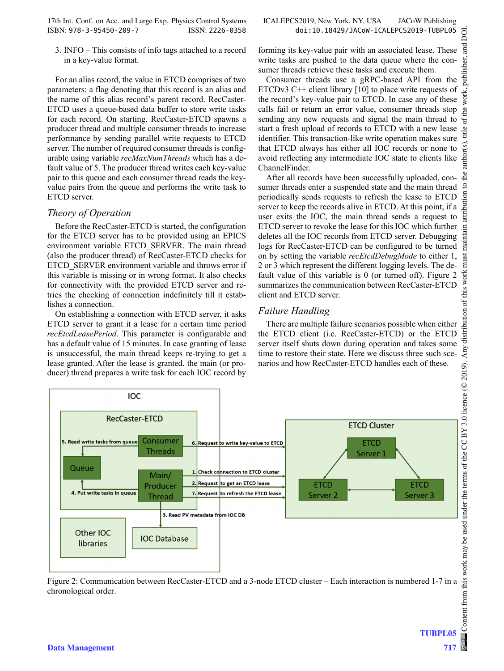3. INFO – This consists of info tags attached to a record in a key-value format.

For an alias record, the value in ETCD comprises of two parameters: a flag denoting that this record is an alias and the name of this alias record's parent record. RecCaster-ETCD uses a queue-based data buffer to store write tasks for each record. On starting, RecCaster-ETCD spawns a producer thread and multiple consumer threads to increase performance by sending parallel write requests to ETCD server. The number of required consumer threads is configurable using variable *recMaxNumThreads* which has a default value of 5. The producer thread writes each key-value pair to this queue and each consumer thread reads the keyvalue pairs from the queue and performs the write task to ETCD server.

#### *Theory of Operation*

Before the RecCaster-ETCD is started, the configuration for the ETCD server has to be provided using an EPICS environment variable ETCD\_SERVER. The main thread (also the producer thread) of RecCaster-ETCD checks for ETCD\_SERVER environment variable and throws error if this variable is missing or in wrong format. It also checks for connectivity with the provided ETCD server and retries the checking of connection indefinitely till it establishes a connection.

On establishing a connection with ETCD server, it asks ETCD server to grant it a lease for a certain time period *recEtcdLeasePeriod*. This parameter is configurable and has a default value of 15 minutes. In case granting of lease is unsuccessful, the main thread keeps re-trying to get a lease granted. After the lease is granted, the main (or producer) thread prepares a write task for each IOC record by

forming its key-value pair with an associated lease. These write tasks are pushed to the data queue where the consumer threads retrieve these tasks and execute them.

Consumer threads use a gRPC-based API from the ETCDv3  $C++$  client library [10] to place write requests of the record's key-value pair to ETCD. In case any of these calls fail or return an error value, consumer threads stop sending any new requests and signal the main thread to start a fresh upload of records to ETCD with a new lease identifier. This transaction-like write operation makes sure that ETCD always has either all IOC records or none to avoid reflecting any intermediate IOC state to clients like ChannelFinder.

After all records have been successfully uploaded, consumer threads enter a suspended state and the main thread periodically sends requests to refresh the lease to ETCD server to keep the records alive in ETCD. At this point, if a user exits the IOC, the main thread sends a request to ETCD server to revoke the lease for this IOC which further and deletes all the IOC records from ETCD server. Debugging all logs for RecCaster-ETCD can be configured to be turned deletes all the IOC records from ETCD server. Debugging logs for RecCaster-ETCD can be configured to be turned on by setting the variable *recEtcdDebugMode* to either 1, 2 or 3 which represent the different logging levels. The default value of this variable is 0 (or turned off). Figure 2 summarizes the communication between RecCaster-ETCD client and ETCD server.

#### *Failure Handling*

There are multiple failure scenarios possible when either the ETCD client (i.e. RecCaster-ETCD) or the ETCD server itself shuts down during operation and takes some time to restore their state. Here we discuss three such scenarios and how RecCaster-ETCD handles each of these.



Figure 2: Communication between RecCaster-ETCD and a 3-node ETCD cluster – Each interaction is numbered 1-7 in a chronological order.

**TUBPL05**